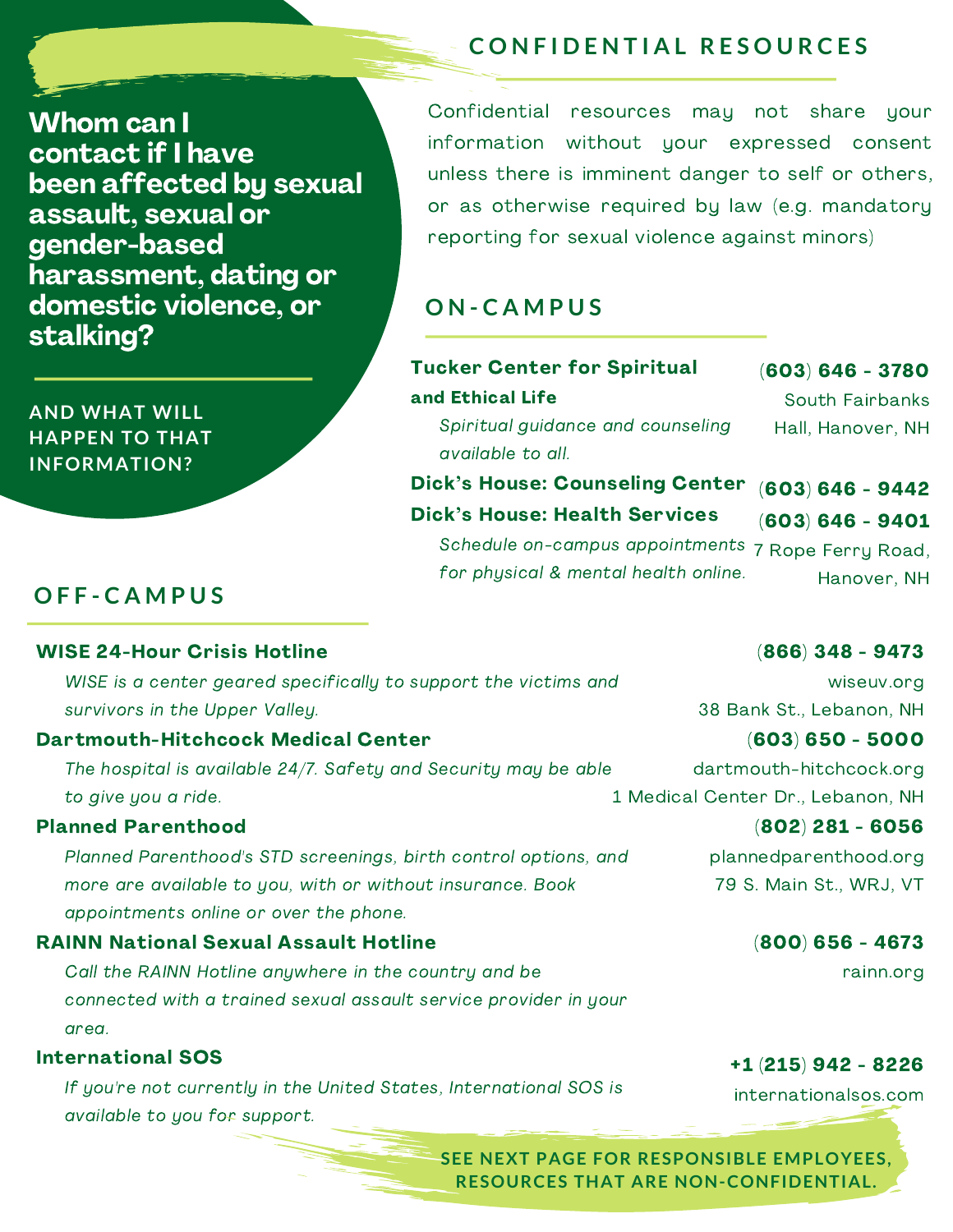**C O N F I D E N T I A L R E S O U R C E S**

Whom can I contact if I have been affected by sexual assault, sexual or gender-based harassment, dating or domestic violence, or stalking?

Confidential resources may not share your information without your expressed consent unless there is imminent danger to self or others, or as otherwise required by law (e.g. mandatory reporting for sexual violence against minors)

## **O N - C A M P U S**

| <b>Tucker Center for Spiritual</b> |  |
|------------------------------------|--|
| and Ethical Life                   |  |

(603) 646 - 3780 South Fairbanks Hall, Hanover, NH

Spiritual guidance and counseling available to all.

Dick's House: Counseling Center (603) 646 - 9442

Dick's House: Health Services Schedule on-campus appointments 7 Rope Ferry Road, for physical & mental health online. (603) 646 - 9401 Hanover, NH

# **O F F - C A M P U S**

### WISE 24-Hour Crisis Hotline

WISE is a center geared specifically to support the victims and survivors in the Upper Valley.

### Dartmouth-Hitchcock Medical Center

The hospital is available 24/7. Safety and Security may be able to give you a ride.

### Planned Parenthood

Planned Parenthood's STD screenings, birth control options, and more are available to you, with or without insurance. Book appointments online or over the phone.

### RAINN National Sexual Assault Hotline

Call the RAINN Hotline anywhere in the country and be connected with a trained sexual assault service provider in your area.

### International SOS

If you're not currently in the United States, International SOS is available to you for support.

### (866) 348 - 9473

wiseuv.org 38 Bank St., Lebanon, NH

### (603) 650 - 5000

dartmouth-hitchcock.org 1 Medical Center Dr., Lebanon, NH

# (802) 281 - 6056

plannedparenthood.org 79 S. Main St., WRJ, VT

### (800) 656 - 4673

rainn.org

### +1 (215) 942 - 8226

internationalsos.com

**SEE NEXT PAGE FOR RESPONSIBLE EMPLOYEES. RESOURCES THAT ARE NON-CONFIDENTIAL.** 

**AND WHAT WILL HAPPEN TO THAT INFORMATION?**